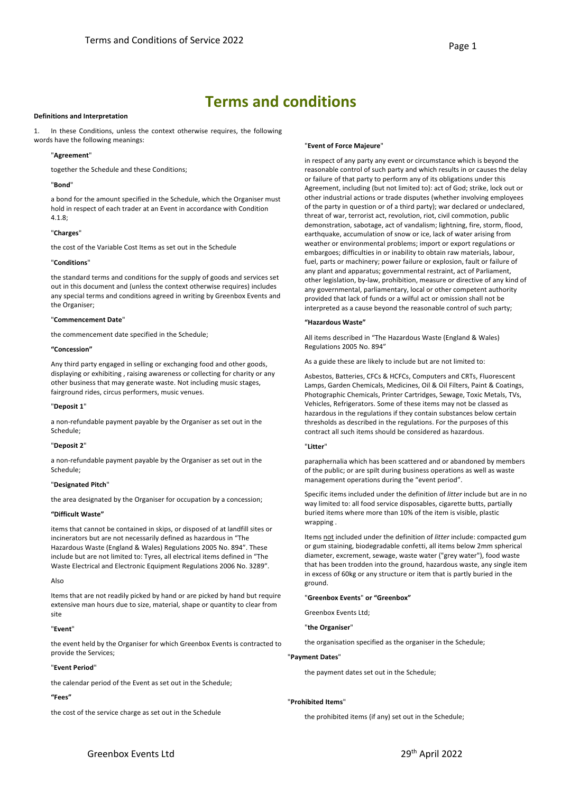# **Terms and conditions**

#### **Definitions and Interpretation**

1. In these Conditions, unless the context otherwise requires, the following words have the following meanings:

## "**Agreement**"

together the Schedule and these Conditions;

#### "**Bond**"

a bond for the amount specified in the Schedule, which the Organiser must hold in respect of each trader at an Event in accordance with Condition 4.1.8;

# "**Charges**"

the cost of the Variable Cost Items as set out in the Schedule

# "**Conditions**"

the standard terms and conditions for the supply of goods and services set out in this document and (unless the context otherwise requires) includes any special terms and conditions agreed in writing by Greenbox Events and the Organiser;

#### "**Commencement Date**"

the commencement date specified in the Schedule;

# **"Concession"**

Any third party engaged in selling or exchanging food and other goods, displaying or exhibiting , raising awareness or collecting for charity or any other business that may generate waste. Not including music stages, fairground rides, circus performers, music venues.

# "**Deposit 1**"

a non-refundable payment payable by the Organiser as set out in the Schedule;

#### "**Deposit 2**"

a non-refundable payment payable by the Organiser as set out in the Schedule;

#### "**Designated Pitch**"

the area designated by the Organiser for occupation by a concession;

#### **"Difficult Waste"**

items that cannot be contained in skips, or disposed of at landfill sites or incinerators but are not necessarily defined as hazardous in "The Hazardous Waste (England & Wales) Regulations 2005 No. 894". These include but are not limited to: Tyres, all electrical items defined in "The Waste Electrical and Electronic Equipment Regulations 2006 No. 3289".

#### Also

Items that are not readily picked by hand or are picked by hand but require extensive man hours due to size, material, shape or quantity to clear from site

#### "**Event**"

the event held by the Organiser for which Greenbox Events is contracted to provide the Services;

#### "**Event Period**"

the calendar period of the Event as set out in the Schedule;

# **"Fees"**

the cost of the service charge as set out in the Schedule

#### "**Event of Force Majeure**"

in respect of any party any event or circumstance which is beyond the reasonable control of such party and which results in or causes the delay or failure of that party to perform any of its obligations under this Agreement, including (but not limited to): act of God; strike, lock out or other industrial actions or trade disputes (whether involving employees of the party in question or of a third party); war declared or undeclared, threat of war, terrorist act, revolution, riot, civil commotion, public demonstration, sabotage, act of vandalism; lightning, fire, storm, flood, earthquake, accumulation of snow or ice, lack of water arising from weather or environmental problems; import or export regulations or embargoes; difficulties in or inability to obtain raw materials, labour, fuel, parts or machinery; power failure or explosion, fault or failure of any plant and apparatus; governmental restraint, act of Parliament, other legislation, by-law, prohibition, measure or directive of any kind of any governmental, parliamentary, local or other competent authority provided that lack of funds or a wilful act or omission shall not be interpreted as a cause beyond the reasonable control of such party;

#### **"Hazardous Waste"**

All items described in "The Hazardous Waste (England & Wales) Regulations 2005 No. 894"

As a guide these are likely to include but are not limited to:

Asbestos, Batteries, CFCs & HCFCs, Computers and CRTs, Fluorescent Lamps, Garden Chemicals, Medicines, Oil & Oil Filters, Paint & Coatings, Photographic Chemicals, Printer Cartridges, Sewage, Toxic Metals, TVs, Vehicles, Refrigerators. Some of these items may not be classed as hazardous in the regulations if they contain substances below certain thresholds as described in the regulations. For the purposes of this contract all such items should be considered as hazardous.

# "**Litter**"

paraphernalia which has been scattered and or abandoned by members of the public; or are spilt during business operations as well as waste management operations during the "event period".

Specific items included under the definition of *litter* include but are in no way limited to: all food service disposables, cigarette butts, partially buried items where more than 10% of the item is visible, plastic wrapping

Items not included under the definition of *litter* include: compacted gum or gum staining, biodegradable confetti, all items below 2mm spherical diameter, excrement, sewage, waste water ("grey water"), food waste that has been trodden into the ground, hazardous waste, any single item in excess of 60kg or any structure or item that is partly buried in the ground.

#### "**Greenbox Events**" **or "Greenbox"**

Greenbox Events Ltd;

"**the Organiser**"

the organisation specified as the organiser in the Schedule;

#### "**Payment Dates**"

the payment dates set out in the Schedule;

# "**Prohibited Items**"

the prohibited items (if any) set out in the Schedule;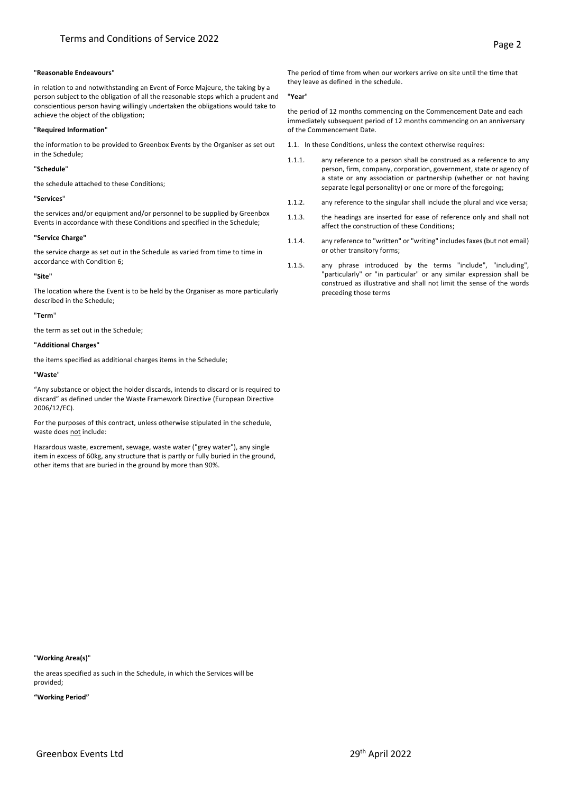## "**Reasonable Endeavours**"

in relation to and notwithstanding an Event of Force Majeure, the taking by a person subject to the obligation of all the reasonable steps which a prudent and conscientious person having willingly undertaken the obligations would take to achieve the object of the obligation;

# "**Required Information**"

the information to be provided to Greenbox Events by the Organiser as set out in the Schedule;

## "**Schedule**"

the schedule attached to these Conditions;

# "**Services**"

the services and/or equipment and/or personnel to be supplied by Greenbox Events in accordance with these Conditions and specified in the Schedule;

# **"Service Charge"**

the service charge as set out in the Schedule as varied from time to time in accordance with Condition 6;

#### **"Site"**

The location where the Event is to be held by the Organiser as more particularly described in the Schedule;

# "**Term**"

the term as set out in the Schedule;

# **"Additional Charges"**

the items specified as additional charges items in the Schedule;

# "**Waste**"

"Any substance or object the holder discards, intends to discard or is required to discard" as defined under the Waste Framework Directive (European Directive 2006/12/EC).

For the purposes of this contract, unless otherwise stipulated in the schedule, waste does not include:

Hazardous waste, excrement, sewage, waste water ("grey water"), any single item in excess of 60kg, any structure that is partly or fully buried in the ground, other items that are buried in the ground by more than 90%.

The period of time from when our workers arrive on site until the time that they leave as defined in the schedule.

#### "**Year**"

the period of 12 months commencing on the Commencement Date and each immediately subsequent period of 12 months commencing on an anniversary of the Commencement Date.

- 1.1. In these Conditions, unless the context otherwise requires:
- 1.1.1. any reference to a person shall be construed as a reference to any person, firm, company, corporation, government, state or agency of a state or any association or partnership (whether or not having separate legal personality) or one or more of the foregoing;
- 1.1.2. any reference to the singular shall include the plural and vice versa;
- 1.1.3. the headings are inserted for ease of reference only and shall not affect the construction of these Conditions;
- 1.1.4. any reference to "written" or "writing" includes faxes (but not email) or other transitory forms;
- 1.1.5. any phrase introduced by the terms "include", "including", "particularly" or "in particular" or any similar expression shall be construed as illustrative and shall not limit the sense of the words preceding those terms

# "**Working Area(s)**"

the areas specified as such in the Schedule, in which the Services will be provided;

**"Working Period"**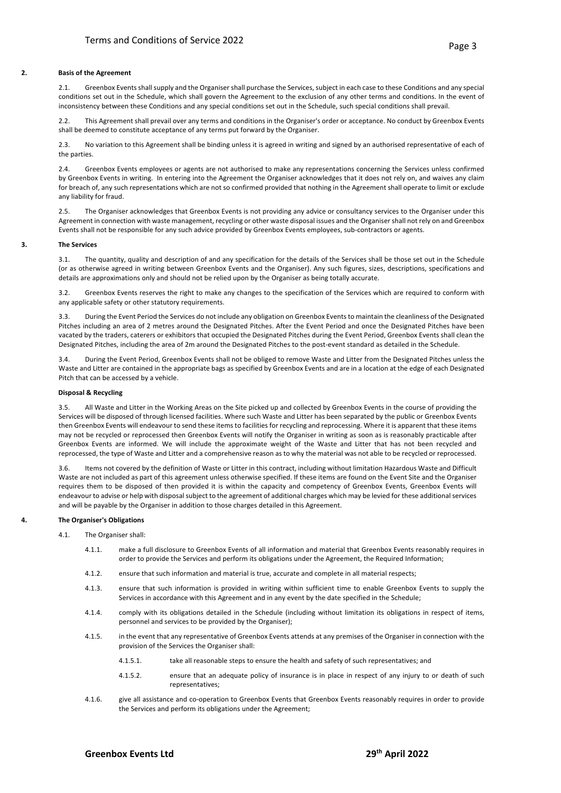#### **2. Basis of the Agreement**

2.1. Greenbox Events shall supply and the Organiser shall purchase the Services, subject in each case to these Conditions and any special conditions set out in the Schedule, which shall govern the Agreement to the exclusion of any other terms and conditions. In the event of inconsistency between these Conditions and any special conditions set out in the Schedule, such special conditions shall prevail.

2.2. This Agreement shall prevail over any terms and conditions in the Organiser's order or acceptance. No conduct by Greenbox Events shall be deemed to constitute acceptance of any terms put forward by the Organiser.

2.3. No variation to this Agreement shall be binding unless it is agreed in writing and signed by an authorised representative of each of the parties.

2.4. Greenbox Events employees or agents are not authorised to make any representations concerning the Services unless confirmed by Greenbox Events in writing. In entering into the Agreement the Organiser acknowledges that it does not rely on, and waives any claim for breach of, any such representations which are not so confirmed provided that nothing in the Agreement shall operate to limit or exclude any liability for fraud.

2.5. The Organiser acknowledges that Greenbox Events is not providing any advice or consultancy services to the Organiser under this Agreement in connection with waste management, recycling or other waste disposal issues and the Organiser shall not rely on and Greenbox Events shall not be responsible for any such advice provided by Greenbox Events employees, sub-contractors or agents.

#### **3. The Services**

3.1. The quantity, quality and description of and any specification for the details of the Services shall be those set out in the Schedule (or as otherwise agreed in writing between Greenbox Events and the Organiser). Any such figures, sizes, descriptions, specifications and details are approximations only and should not be relied upon by the Organiser as being totally accurate.

3.2. Greenbox Events reserves the right to make any changes to the specification of the Services which are required to conform with any applicable safety or other statutory requirements.

3.3. During the Event Period the Services do not include any obligation on Greenbox Eventsto maintain the cleanliness of the Designated Pitches including an area of 2 metres around the Designated Pitches. After the Event Period and once the Designated Pitches have been vacated by the traders, caterers or exhibitors that occupied the Designated Pitches during the Event Period, Greenbox Events shall clean the Designated Pitches, including the area of 2m around the Designated Pitches to the post-event standard as detailed in the Schedule.

3.4. During the Event Period, Greenbox Events shall not be obliged to remove Waste and Litter from the Designated Pitches unless the Waste and Litter are contained in the appropriate bags as specified by Greenbox Events and are in a location at the edge of each Designated Pitch that can be accessed by a vehicle.

#### **Disposal & Recycling**

3.5. All Waste and Litter in the Working Areas on the Site picked up and collected by Greenbox Events in the course of providing the Services will be disposed of through licensed facilities. Where such Waste and Litter has been separated by the public or Greenbox Events then Greenbox Events will endeavour to send these items to facilities for recycling and reprocessing. Where it is apparent that these items may not be recycled or reprocessed then Greenbox Events will notify the Organiser in writing as soon as is reasonably practicable after Greenbox Events are informed. We will include the approximate weight of the Waste and Litter that has not been recycled and reprocessed, the type of Waste and Litter and a comprehensive reason as to why the material was not able to be recycled or reprocessed.

3.6. Items not covered by the definition of Waste or Litter in this contract, including without limitation Hazardous Waste and Difficult Waste are not included as part of this agreement unless otherwise specified. If these items are found on the Event Site and the Organiser requires them to be disposed of then provided it is within the capacity and competency of Greenbox Events, Greenbox Events will endeavour to advise or help with disposal subject to the agreement of additional charges which may be levied for these additional services and will be payable by the Organiser in addition to those charges detailed in this Agreement.

## **4. The Organiser's Obligations**

#### 4.1. The Organiser shall:

- 4.1.1. make a full disclosure to Greenbox Events of all information and material that Greenbox Events reasonably requires in order to provide the Services and perform its obligations under the Agreement, the Required Information;
- 4.1.2. ensure that such information and material is true, accurate and complete in all material respects;
- 4.1.3. ensure that such information is provided in writing within sufficient time to enable Greenbox Events to supply the Services in accordance with this Agreement and in any event by the date specified in the Schedule;
- 4.1.4. comply with its obligations detailed in the Schedule (including without limitation its obligations in respect of items, personnel and services to be provided by the Organiser);
- 4.1.5. in the event that any representative of Greenbox Events attends at any premises of the Organiser in connection with the provision of the Services the Organiser shall:
	- 4.1.5.1. take all reasonable steps to ensure the health and safety of such representatives; and
	- 4.1.5.2. ensure that an adequate policy of insurance is in place in respect of any injury to or death of such representatives;
- 4.1.6. give all assistance and co-operation to Greenbox Events that Greenbox Events reasonably requires in order to provide the Services and perform its obligations under the Agreement;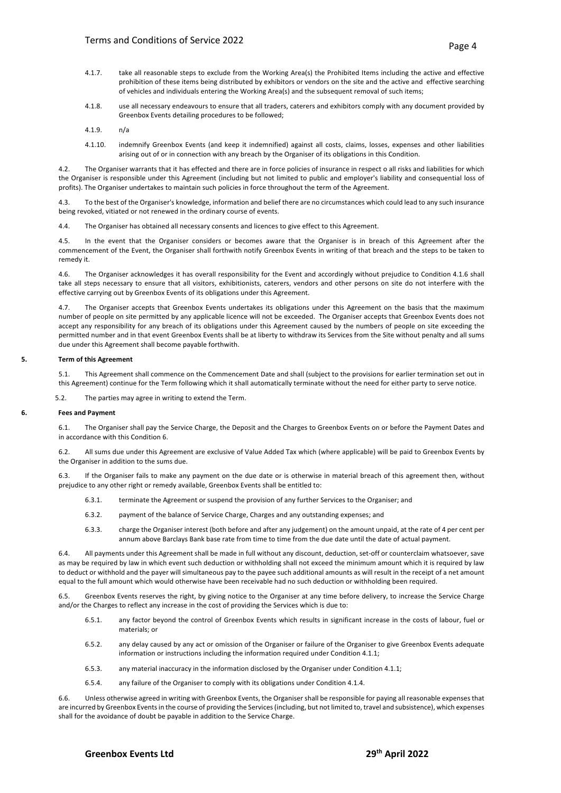- 4.1.7. take all reasonable steps to exclude from the Working Area(s) the Prohibited Items including the active and effective prohibition of these items being distributed by exhibitors or vendors on the site and the active and effective searching of vehicles and individuals entering the Working Area(s) and the subsequent removal of such items;
- 4.1.8. use all necessary endeavours to ensure that all traders, caterers and exhibitors comply with any document provided by Greenbox Events detailing procedures to be followed;
- 4.1.9. n/a
- 4.1.10. indemnify Greenbox Events (and keep it indemnified) against all costs, claims, losses, expenses and other liabilities arising out of or in connection with any breach by the Organiser of its obligations in this Condition.

4.2. The Organiser warrants that it has effected and there are in force policies of insurance in respect o all risks and liabilities for which the Organiser is responsible under this Agreement (including but not limited to public and employer's liability and consequential loss of profits). The Organiser undertakes to maintain such policies in force throughout the term of the Agreement.

4.3. To the best of the Organiser's knowledge, information and belief there are no circumstances which could lead to any such insurance being revoked, vitiated or not renewed in the ordinary course of events.

4.4. The Organiser has obtained all necessary consents and licences to give effect to this Agreement.

4.5. In the event that the Organiser considers or becomes aware that the Organiser is in breach of this Agreement after the commencement of the Event, the Organiser shall forthwith notify Greenbox Events in writing of that breach and the steps to be taken to remedy it.

4.6. The Organiser acknowledges it has overall responsibility for the Event and accordingly without prejudice to Condition 4.1.6 shall take all steps necessary to ensure that all visitors, exhibitionists, caterers, vendors and other persons on site do not interfere with the effective carrying out by Greenbox Events of its obligations under this Agreement.

4.7. The Organiser accepts that Greenbox Events undertakes its obligations under this Agreement on the basis that the maximum number of people on site permitted by any applicable licence will not be exceeded. The Organiser accepts that Greenbox Events does not accept any responsibility for any breach of its obligations under this Agreement caused by the numbers of people on site exceeding the permitted number and in that event Greenbox Events shall be at liberty to withdraw its Services from the Site without penalty and all sums due under this Agreement shall become payable forthwith.

### **5. Term of this Agreement**

5.1. This Agreement shall commence on the Commencement Date and shall (subject to the provisions for earlier termination set out in this Agreement) continue for the Term following which it shall automatically terminate without the need for either party to serve notice.

5.2. The parties may agree in writing to extend the Term.

#### **6. Fees and Payment**

6.1. The Organiser shall pay the Service Charge, the Deposit and the Charges to Greenbox Events on or before the Payment Dates and in accordance with this Condition 6.

6.2. All sums due under this Agreement are exclusive of Value Added Tax which (where applicable) will be paid to Greenbox Events by the Organiser in addition to the sums due.

If the Organiser fails to make any payment on the due date or is otherwise in material breach of this agreement then, without prejudice to any other right or remedy available, Greenbox Events shall be entitled to:

- 6.3.1. terminate the Agreement or suspend the provision of any further Services to the Organiser; and
- 6.3.2. payment of the balance of Service Charge, Charges and any outstanding expenses; and
- 6.3.3. charge the Organiser interest (both before and after any judgement) on the amount unpaid, at the rate of 4 per cent per annum above Barclays Bank base rate from time to time from the due date until the date of actual payment.

6.4. All payments under this Agreement shall be made in full without any discount, deduction, set-off or counterclaim whatsoever, save as may be required by law in which event such deduction or withholding shall not exceed the minimum amount which it is required by law to deduct or withhold and the payer will simultaneous pay to the payee such additional amounts as will result in the receipt of a net amount equal to the full amount which would otherwise have been receivable had no such deduction or withholding been required.

6.5. Greenbox Events reserves the right, by giving notice to the Organiser at any time before delivery, to increase the Service Charge and/or the Charges to reflect any increase in the cost of providing the Services which is due to:

- 6.5.1. any factor beyond the control of Greenbox Events which results in significant increase in the costs of labour, fuel or materials; or
- 6.5.2. any delay caused by any act or omission of the Organiser or failure of the Organiser to give Greenbox Events adequate information or instructions including the information required under Condition 4.1.1;
- 6.5.3. any material inaccuracy in the information disclosed by the Organiser under Condition 4.1.1;
- 6.5.4. any failure of the Organiser to comply with its obligations under Condition 4.1.4.

6.6. Unless otherwise agreed in writing with Greenbox Events, the Organiser shall be responsible for paying all reasonable expenses that are incurred by Greenbox Eventsin the course of providing the Services (including, but not limited to, travel and subsistence), which expenses shall for the avoidance of doubt be payable in addition to the Service Charge.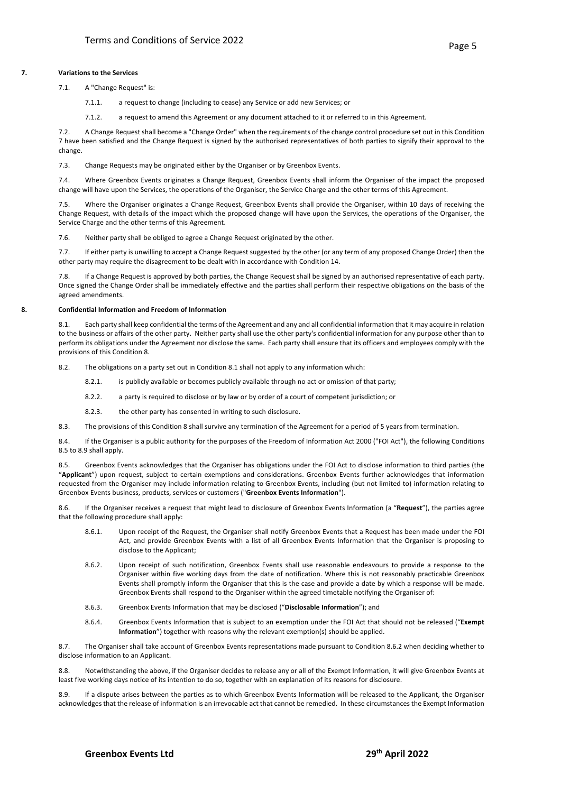# **7. Variations to the Services**

7.1. A "Change Request" is:

7.1.1. a request to change (including to cease) any Service or add new Services; or

7.1.2. a request to amend this Agreement or any document attached to it or referred to in this Agreement.

7.2. A Change Request shall become a "Change Order" when the requirements of the change control procedure set out in this Condition 7 have been satisfied and the Change Request is signed by the authorised representatives of both parties to signify their approval to the change.

7.3. Change Requests may be originated either by the Organiser or by Greenbox Events.

7.4. Where Greenbox Events originates a Change Request, Greenbox Events shall inform the Organiser of the impact the proposed change will have upon the Services, the operations of the Organiser, the Service Charge and the other terms of this Agreement.

7.5. Where the Organiser originates a Change Request, Greenbox Events shall provide the Organiser, within 10 days of receiving the Change Request, with details of the impact which the proposed change will have upon the Services, the operations of the Organiser, the Service Charge and the other terms of this Agreement.

7.6. Neither party shall be obliged to agree a Change Request originated by the other.

7.7. If either party is unwilling to accept a Change Request suggested by the other (or any term of any proposed Change Order) then the other party may require the disagreement to be dealt with in accordance with Condition 14.

7.8. If a Change Request is approved by both parties, the Change Request shall be signed by an authorised representative of each party. Once signed the Change Order shall be immediately effective and the parties shall perform their respective obligations on the basis of the agreed amendments.

# **8. Confidential Information and Freedom of Information**

8.1. Each party shall keep confidential the terms of the Agreement and any and all confidential information that it may acquire in relation to the business or affairs of the other party. Neither party shall use the other party's confidential information for any purpose other than to perform its obligations under the Agreement nor disclose the same. Each party shall ensure that its officers and employees comply with the provisions of this Condition 8.

8.2. The obligations on a party set out in Condition 8.1 shall not apply to any information which:

8.2.1. is publicly available or becomes publicly available through no act or omission of that party;

- 8.2.2. a party is required to disclose or by law or by order of a court of competent jurisdiction; or
- 8.2.3. the other party has consented in writing to such disclosure.

8.3. The provisions of this Condition 8 shall survive any termination of the Agreement for a period of 5 years from termination.

8.4. If the Organiser is a public authority for the purposes of the Freedom of Information Act 2000 ("FOI Act"), the following Conditions 8.5 to 8.9 shall apply.

Greenbox Events acknowledges that the Organiser has obligations under the FOI Act to disclose information to third parties (the "**Applicant**") upon request, subject to certain exemptions and considerations. Greenbox Events further acknowledges that information requested from the Organiser may include information relating to Greenbox Events, including (but not limited to) information relating to Greenbox Events business, products, services or customers ("**Greenbox Events Information**").

8.6. If the Organiser receives a request that might lead to disclosure of Greenbox Events Information (a "**Request**"), the parties agree that the following procedure shall apply:

- 8.6.1. Upon receipt of the Request, the Organiser shall notify Greenbox Events that a Request has been made under the FOI Act, and provide Greenbox Events with a list of all Greenbox Events Information that the Organiser is proposing to disclose to the Applicant;
- 8.6.2. Upon receipt of such notification, Greenbox Events shall use reasonable endeavours to provide a response to the Organiser within five working days from the date of notification. Where this is not reasonably practicable Greenbox Events shall promptly inform the Organiser that this is the case and provide a date by which a response will be made. Greenbox Events shall respond to the Organiser within the agreed timetable notifying the Organiser of:
- 8.6.3. Greenbox Events Information that may be disclosed ("**Disclosable Information**"); and
- 8.6.4. Greenbox Events Information that is subject to an exemption under the FOI Act that should not be released ("**Exempt Information**") together with reasons why the relevant exemption(s) should be applied.

8.7. The Organiser shall take account of Greenbox Events representations made pursuant to Condition 8.6.2 when deciding whether to disclose information to an Applicant.

8.8. Notwithstanding the above, if the Organiser decides to release any or all of the Exempt Information, it will give Greenbox Events at least five working days notice of its intention to do so, together with an explanation of its reasons for disclosure.

8.9. If a dispute arises between the parties as to which Greenbox Events Information will be released to the Applicant, the Organiser acknowledges that the release of information is an irrevocable act that cannot be remedied. In these circumstances the Exempt Information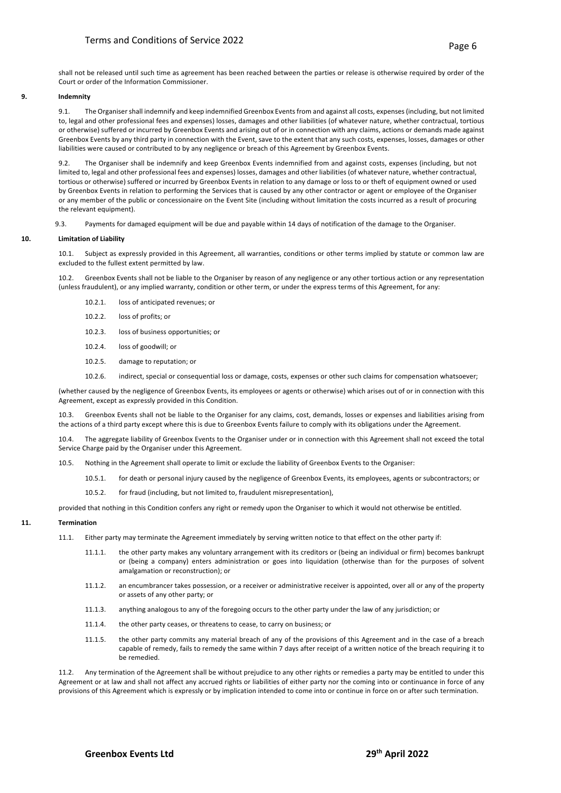shall not be released until such time as agreement has been reached between the parties or release is otherwise required by order of the Court or order of the Information Commissioner.

# **9. Indemnity**

9.1. The Organiser shall indemnify and keep indemnified Greenbox Eventsfrom and against all costs, expenses (including, but not limited to, legal and other professional fees and expenses) losses, damages and other liabilities (of whatever nature, whether contractual, tortious or otherwise) suffered or incurred by Greenbox Events and arising out of or in connection with any claims, actions or demands made against Greenbox Events by any third party in connection with the Event, save to the extent that any such costs, expenses, losses, damages or other liabilities were caused or contributed to by any negligence or breach of this Agreement by Greenbox Events.

9.2. The Organiser shall be indemnify and keep Greenbox Events indemnified from and against costs, expenses (including, but not limited to, legal and other professional fees and expenses) losses, damages and other liabilities (of whatever nature, whether contractual, tortious or otherwise) suffered or incurred by Greenbox Events in relation to any damage or loss to or theft of equipment owned or used by Greenbox Events in relation to performing the Services that is caused by any other contractor or agent or employee of the Organiser or any member of the public or concessionaire on the Event Site (including without limitation the costs incurred as a result of procuring the relevant equipment).

9.3. Payments for damaged equipment will be due and payable within 14 days of notification of the damage to the Organiser.

# **10. Limitation of Liability**

10.1. Subject as expressly provided in this Agreement, all warranties, conditions or other terms implied by statute or common law are excluded to the fullest extent permitted by law.

10.2. Greenbox Events shall not be liable to the Organiser by reason of any negligence or any other tortious action or any representation (unless fraudulent), or any implied warranty, condition or other term, or under the express terms of this Agreement, for any:

- 10.2.1. loss of anticipated revenues; or
- 10.2.2. loss of profits; or
- 10.2.3. loss of business opportunities; or
- 10.2.4. loss of goodwill; or
- 10.2.5. damage to reputation; or
- 10.2.6. indirect, special or consequential loss or damage, costs, expenses or other such claims for compensation whatsoever;

(whether caused by the negligence of Greenbox Events, its employees or agents or otherwise) which arises out of or in connection with this Agreement, except as expressly provided in this Condition.

10.3. Greenbox Events shall not be liable to the Organiser for any claims, cost, demands, losses or expenses and liabilities arising from the actions of a third party except where this is due to Greenbox Events failure to comply with its obligations under the Agreement.

10.4. The aggregate liability of Greenbox Events to the Organiser under or in connection with this Agreement shall not exceed the total Service Charge paid by the Organiser under this Agreement.

10.5. Nothing in the Agreement shall operate to limit or exclude the liability of Greenbox Events to the Organiser:

- 10.5.1. for death or personal injury caused by the negligence of Greenbox Events, its employees, agents or subcontractors; or
- 10.5.2. for fraud (including, but not limited to, fraudulent misrepresentation),

provided that nothing in this Condition confers any right or remedy upon the Organiser to which it would not otherwise be entitled.

# **11. Termination**

- 11.1. Either party may terminate the Agreement immediately by serving written notice to that effect on the other party if:
	- 11.1.1. the other party makes any voluntary arrangement with its creditors or (being an individual or firm) becomes bankrupt or (being a company) enters administration or goes into liquidation (otherwise than for the purposes of solvent amalgamation or reconstruction); or
	- 11.1.2. an encumbrancer takes possession, or a receiver or administrative receiver is appointed, over all or any of the property or assets of any other party; or
	- 11.1.3. anything analogous to any of the foregoing occurs to the other party under the law of any jurisdiction; or
	- 11.1.4. the other party ceases, or threatens to cease, to carry on business; or
	- 11.1.5. the other party commits any material breach of any of the provisions of this Agreement and in the case of a breach capable of remedy, fails to remedy the same within 7 days after receipt of a written notice of the breach requiring it to be remedied.

11.2. Any termination of the Agreement shall be without prejudice to any other rights or remedies a party may be entitled to under this Agreement or at law and shall not affect any accrued rights or liabilities of either party nor the coming into or continuance in force of any provisions of this Agreement which is expressly or by implication intended to come into or continue in force on or after such termination.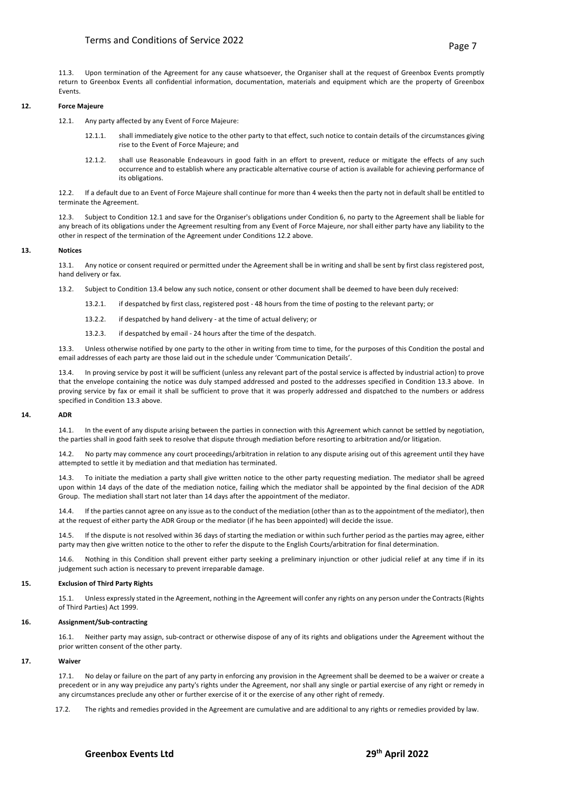11.3. Upon termination of the Agreement for any cause whatsoever, the Organiser shall at the request of Greenbox Events promptly return to Greenbox Events all confidential information, documentation, materials and equipment which are the property of Greenbox Events.

# **12. Force Majeure**

12.1. Any party affected by any Event of Force Majeure:

- 12.1.1. shall immediately give notice to the other party to that effect, such notice to contain details of the circumstances giving rise to the Event of Force Majeure; and
- 12.1.2. shall use Reasonable Endeavours in good faith in an effort to prevent, reduce or mitigate the effects of any such occurrence and to establish where any practicable alternative course of action is available for achieving performance of its obligations.

12.2. If a default due to an Event of Force Majeure shall continue for more than 4 weeks then the party not in default shall be entitled to terminate the Agreement.

12.3. Subject to Condition 12.1 and save for the Organiser's obligations under Condition 6, no party to the Agreement shall be liable for any breach of its obligations under the Agreement resulting from any Event of Force Majeure, nor shall either party have any liability to the other in respect of the termination of the Agreement under Conditions 12.2 above.

# **13. Notices**

13.1. Any notice or consent required or permitted under the Agreement shall be in writing and shall be sent by first class registered post, hand delivery or fax.

13.2. Subject to Condition 13.4 below any such notice, consent or other document shall be deemed to have been duly received:

- 13.2.1. if despatched by first class, registered post 48 hours from the time of posting to the relevant party; or
- 13.2.2. if despatched by hand delivery at the time of actual delivery; or
- 13.2.3. if despatched by email 24 hours after the time of the despatch.

13.3. Unless otherwise notified by one party to the other in writing from time to time, for the purposes of this Condition the postal and email addresses of each party are those laid out in the schedule under 'Communication Details'.

13.4. In proving service by post it will be sufficient (unless any relevant part of the postal service is affected by industrial action) to prove that the envelope containing the notice was duly stamped addressed and posted to the addresses specified in Condition 13.3 above. In proving service by fax or email it shall be sufficient to prove that it was properly addressed and dispatched to the numbers or address specified in Condition 13.3 above.

#### **14. ADR**

14.1. In the event of any dispute arising between the parties in connection with this Agreement which cannot be settled by negotiation, the parties shall in good faith seek to resolve that dispute through mediation before resorting to arbitration and/or litigation.

14.2. No party may commence any court proceedings/arbitration in relation to any dispute arising out of this agreement until they have attempted to settle it by mediation and that mediation has terminated.

14.3. To initiate the mediation a party shall give written notice to the other party requesting mediation. The mediator shall be agreed upon within 14 days of the date of the mediation notice, failing which the mediator shall be appointed by the final decision of the ADR Group. The mediation shall start not later than 14 days after the appointment of the mediator.

14.4. If the parties cannot agree on any issue as to the conduct of the mediation (other than as to the appointment of the mediator), then at the request of either party the ADR Group or the mediator (if he has been appointed) will decide the issue.

14.5. If the dispute is not resolved within 36 days of starting the mediation or within such further period as the parties may agree, either party may then give written notice to the other to refer the dispute to the English Courts/arbitration for final determination.

Nothing in this Condition shall prevent either party seeking a preliminary injunction or other judicial relief at any time if in its judgement such action is necessary to prevent irreparable damage.

#### **15. Exclusion of Third Party Rights**

15.1. Unless expressly stated in the Agreement, nothing in the Agreement will confer any rights on any person under the Contracts (Rights of Third Parties) Act 1999.

# **16. Assignment/Sub-contracting**

16.1. Neither party may assign, sub-contract or otherwise dispose of any of its rights and obligations under the Agreement without the prior written consent of the other party.

# **17. Waiver**

No delay or failure on the part of any party in enforcing any provision in the Agreement shall be deemed to be a waiver or create a precedent or in any way prejudice any party's rights under the Agreement, nor shall any single or partial exercise of any right or remedy in any circumstances preclude any other or further exercise of it or the exercise of any other right of remedy.

17.2. The rights and remedies provided in the Agreement are cumulative and are additional to any rights or remedies provided by law.